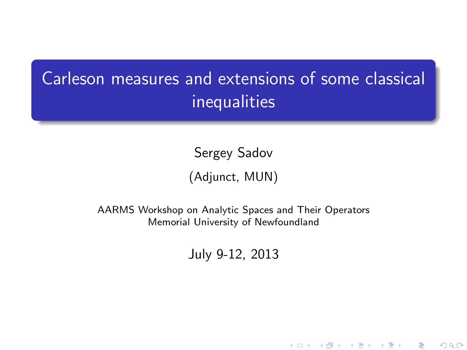# Carleson measures and extensions of some classical inequalities

Sergey Sadov

(Adjunct, MUN)

<span id="page-0-0"></span>AARMS Workshop on Analytic Spaces and Their Operators Memorial University of Newfoundland

July 9-12, 2013

K ロ K K 御 K K W B K W B K W B B

 $2Q$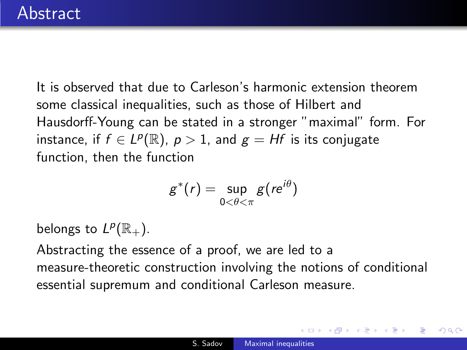It is observed that due to Carleson's harmonic extension theorem some classical inequalities, such as those of Hilbert and Hausdorff-Young can be stated in a stronger "maximal" form. For instance, if  $f \in L^p(\mathbb{R})$ ,  $p > 1$ , and  $g = Hf$  is its conjugate function, then the function

$$
g^*(r) = \sup_{0 < \theta < \pi} g(re^{i\theta})
$$

belongs to  $L^p(\mathbb{R}_+).$ 

Abstracting the essence of a proof, we are led to a measure-theoretic construction involving the notions of conditional essential supremum and conditional Carleson measure.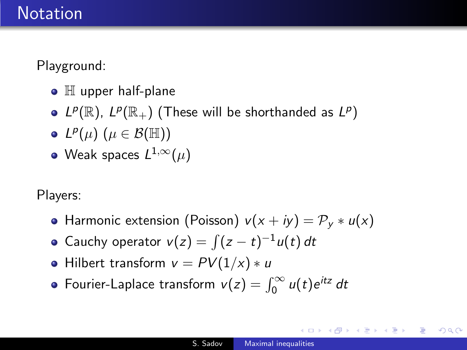## Notation

Playground:

- $\bullet$   $\mathbb H$  upper half-plane
- $L^p(\mathbb{R})$ ,  $L^p(\mathbb{R}_+)$  (These will be shorthanded as  $L^p$ )
- $L^p(\mu)$   $(\mu \in \mathcal{B}(\mathbb{H}))$
- Weak spaces  $L^{1,\infty}(\mu)$

Players:

- $\bullet$  Harmonic extension (Poisson)  $v(x + iy) = \mathcal{P}_v * u(x)$
- Cauchy operator  $v(z) = \int (z t)^{-1} u(t) dt$
- Hilbert transform  $v = PV(1/x) * u$
- Fourier-Laplace transform  $v(z) = \int_0^\infty u(t)e^{itz} dt$

**母 ▶ 4 ヨ ▶ 4**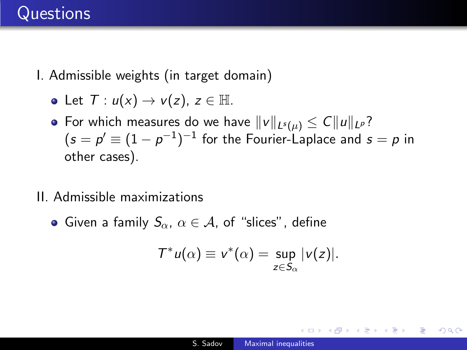## **Questions**

I. Admissible weights (in target domain)

• Let 
$$
T: u(x) \rightarrow v(z), z \in \mathbb{H}
$$
.

- For which measures do we have  $||v||_{L^{s}(\mu)} \leq C||u||_{L^{p}}$ ?  $\zeta(s=p'\equiv (1-p^{-1})^{-1}$  for the Fourier-Laplace and  $s=p$  in other cases).
- II. Admissible maximizations
	- Given a family  $S_{\alpha}$ ,  $\alpha \in A$ , of "slices", define

$$
\mathcal{T}^* u(\alpha) \equiv v^*(\alpha) = \sup_{z \in S_{\alpha}} |v(z)|.
$$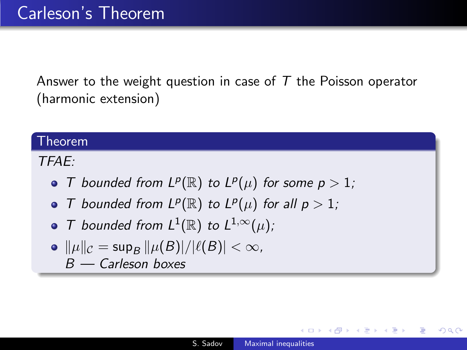Answer to the weight question in case of  $T$  the Poisson operator (harmonic extension)

#### Theorem

TFAE:

- T bounded from  $L^p(\mathbb{R})$  to  $L^p(\mu)$  for some  $p > 1$ ;
- T bounded from  $L^p(\mathbb{R})$  to  $L^p(\mu)$  for all  $p > 1$ ;
- T bounded from  $L^1(\mathbb{R})$  to  $L^{1,\infty}(\mu)$ ;
- $\|\mu\|_{\mathcal{C}} = \sup_{B} \|\mu(B)|/|\ell(B)| < \infty$ ,  $B -$  Carleson boxes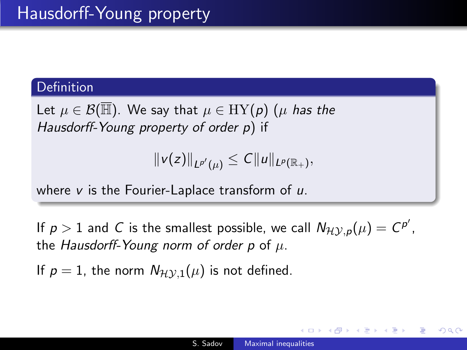#### **Definition**

Let  $\mu \in \mathcal{B}(\overline{\mathbb{H}})$ . We say that  $\mu \in \mathrm{HY}(p)$  ( $\mu$  has the Hausdorff-Young property of order p) if

$$
||v(z)||_{L^{p'}(\mu)} \leq C||u||_{L^p(\mathbb{R}_+)},
$$

where  $v$  is the Fourier-Laplace transform of  $u$ .

If  $p > 1$  and C is the smallest possible, we call  $N_{\mathcal{H} \mathcal{Y}, p}(\mu) = C^{p'},$ the Hausdorff-Young norm of order p of  $\mu$ .

If  $p = 1$ , the norm  $N_{\mathcal{H} \mathcal{V},1}(\mu)$  is not defined.

つくへ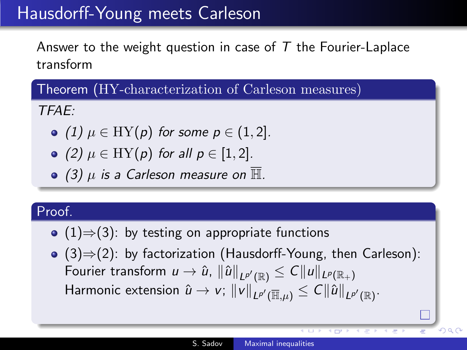## Hausdorff-Young meets Carleson

Answer to the weight question in case of  $T$  the Fourier-Laplace transform

Theorem (HY-characterization of Carleson measures)

TFAE:

- $(1)$   $\mu \in HY(p)$  for some  $p \in (1, 2]$ .
- $\bullet$  (2)  $\mu \in HY(p)$  for all  $p \in [1,2]$ .
- $\bullet$  (3)  $\mu$  is a Carleson measure on  $\overline{\mathbb{H}}$ .

### Proof.

- (1) $\Rightarrow$ (3): by testing on appropriate functions
- (3)⇒(2): by factorization (Hausdorff-Young, then Carleson): Fourier transform  $u\to\hat{u}$ ,  $\|\hat{u}\|_{L^{p'}(\mathbb{R})}\leq C\|u\|_{L^p(\mathbb{R}_+)}$ Harmonic extension  $\hat{u} \rightarrow v$ ;  $\|v\|_{L^{p'}(\overline{\mathbb{H}},\mu)} \leq C\|\hat{u}\|_{L^{p'}(\mathbb{R})}.$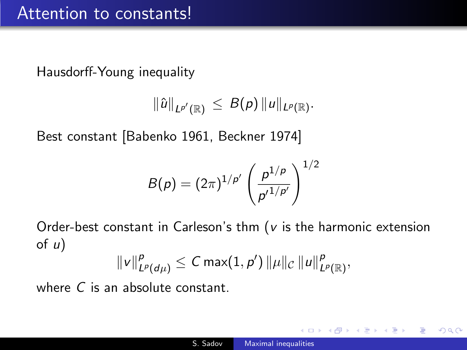Hausdorff-Young inequality

$$
\|\hat{u}\|_{L^{p'}(\mathbb{R})}\,\leq\,B(\rho)\,\|u\|_{L^{p}(\mathbb{R})}.
$$

Best constant [Babenko 1961, Beckner 1974]

$$
B(\rho) = (2\pi)^{1/\rho'}\left(\frac{\rho^{1/\rho}}{\rho'^{1/\rho'}}\right)^{1/2}
$$

Order-best constant in Carleson's thm ( $v$  is the harmonic extension of  $u$ )

$$
||v||_{L^p(d\mu)}^p \leq C \max(1,p') ||\mu||_C ||u||_{L^p(\mathbb{R})}^p,
$$

where C is an absolute constant.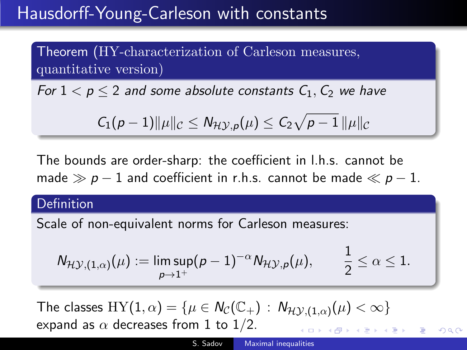## Hausdorff-Young-Carleson with constants

Theorem (HY-characterization of Carleson measures, quantitative version)

For  $1 < p \leq 2$  and some absolute constants  $C_1$ ,  $C_2$  we have

$$
C_1(p-1)\|\mu\|_{\mathcal{C}}\leq N_{\mathcal{HY},p}(\mu)\leq C_2\sqrt{p-1}\,\|\mu\|_{\mathcal{C}}
$$

The bounds are order-sharp: the coefficient in l.h.s. cannot be made  $\gg p - 1$  and coefficient in r.h.s. cannot be made  $\ll p - 1$ .

#### **Definition**

Scale of non-equivalent norms for Carleson measures:

$$
\mathsf{N}_{\mathcal{H}\mathcal{Y},(1,\alpha)}(\mu):=\limsup_{\rho\rightarrow 1^+} (\rho-1)^{-\alpha}\mathsf{N}_{\mathcal{H}\mathcal{Y},\rho}(\mu), \qquad \frac{1}{2}\leq \alpha\leq 1.
$$

The classes  $HY(1, \alpha) = \{ \mu \in \mathcal{N}_{\mathcal{C}}(\mathbb{C}_+) : \mathcal{N}_{\mathcal{H} \mathcal{Y}, (1, \alpha)}(\mu) < \infty \}$ expand as  $\alpha$  decreases from 1 to 1/2.  $\mathcal{A} \xrightarrow{\sim} \mathcal{A} \xrightarrow{\sim} \mathcal{A} \xrightarrow{\sim} \mathcal{A}$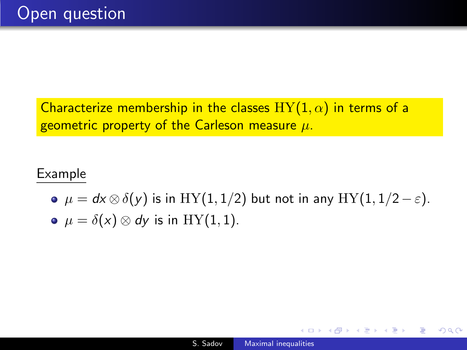Characterize membership in the classes  $HY(1, \alpha)$  in terms of a geometric property of the Carleson measure  $\mu$ .

### Example

•  $\mu = dx \otimes \delta(y)$  is in HY(1,1/2) but not in any HY(1,1/2 –  $\varepsilon$ ). •  $\mu = \delta(x) \otimes dy$  is in HY(1,1).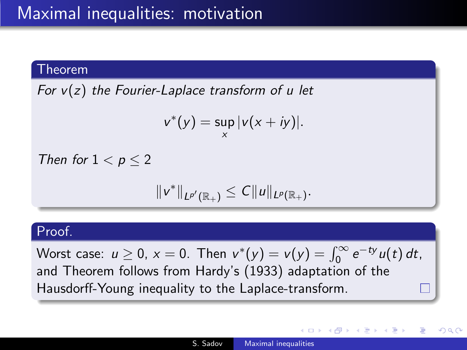#### Theorem

For  $v(z)$  the Fourier-Laplace transform of u let

$$
v^*(y) = \sup_{x} |v(x+iy)|.
$$

Then for  $1 < p < 2$ 

$$
||v^*||_{L^{p'}(\mathbb{R}_+)} \leq C||u||_{L^p(\mathbb{R}_+)}.
$$

#### Proof.

Worst case:  $u \ge 0$ ,  $x = 0$ . Then  $v^*(y) = v(y) = \int_0^\infty e^{-ty} u(t) dt$ , and Theorem follows from Hardy's (1933) adaptation of the Hausdorff-Young inequality to the Laplace-transform.

<span id="page-10-0"></span>つくへ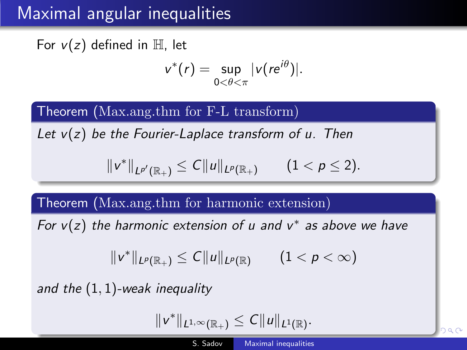## Maximal angular inequalities

For  $v(z)$  defined in  $\mathbb{H}$ , let

$$
v^*(r)=\sup_{0<\theta<\pi}|v(re^{i\theta})|.
$$

Theorem (Max.ang.thm for F-L transform)

Let  $v(z)$  be the Fourier-Laplace transform of u. Then

$$
||v^*||_{L^{p'}(\mathbb{R}_+)} \leq C||u||_{L^p(\mathbb{R}_+)} \qquad (1 < p \leq 2).
$$

Theorem (Max.ang.thm for harmonic extension)

For  $v(z)$  the harmonic extension of u and  $v^*$  as above we have

$$
||v^*||_{L^p(\mathbb{R}_+)} \leq C||u||_{L^p(\mathbb{R})} \qquad (1 < p < \infty)
$$

and the  $(1, 1)$ -weak inequality

$$
||v^*||_{L^{1,\infty}(\mathbb{R}_+)} \leq C||u||_{L^1(\mathbb{R})}.
$$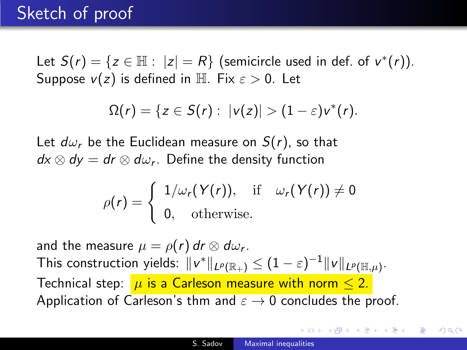## Sketch of proof

Let  $S(r) = \{ z \in \mathbb{H} : |z| = R \}$  (semicircle used in def. of  $v^*(r)$ ). Suppose  $v(z)$  is defined in H. Fix  $\varepsilon > 0$ . Let

$$
\Omega(r)=\{z\in S(r):\;|v(z)|>(1-\varepsilon)v^*(r).
$$

Let  $d\omega_r$  be the Euclidean measure on  $S(r)$ , so that  $dx \otimes dy = dr \otimes d\omega_r$ . Define the density function

$$
\rho(r) = \begin{cases} 1/\omega_r(Y(r)), & \text{if } \omega_r(Y(r)) \neq 0 \\ 0, & \text{otherwise.} \end{cases}
$$

and the measure  $\mu=\rho(r)$  dr  $\otimes$  d $\omega_{r}.$ This construction yields:  $\|v^*\|_{L^p(\mathbb{R}_+)}\leq (1-\varepsilon)^{-1}\|v\|_{L^p(\mathbb{H},\mu)}.$ Technical step:  $\mu$  is a Carleson measure with norm  $\leq 2$ . Application of Carleson's thm and  $\varepsilon \to 0$  concludes the proof.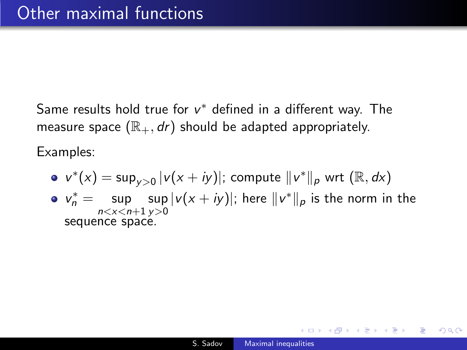Same results hold true for  $v^*$  defined in a different way. The measure space  $(\mathbb{R}_+, dr)$  should be adapted appropriately.

Examples:

\n- $$
v^*(x) = \sup_{y>0} |v(x+iy)|
$$
; compute  $||v^*||_p$  wrt  $(\mathbb{R}, dx)$
\n- $v_n^* = \sup_{n < x < n+1} \sup_{y>0} |v(x+iy)|$ ; here  $||v^*||_p$  is the norm in the sequence space.
\n

 $\Omega$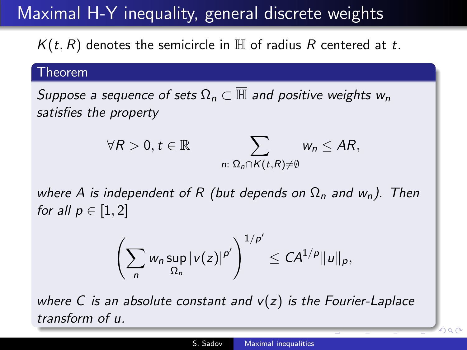## Maximal H-Y inequality, general discrete weights

 $K(t, R)$  denotes the semicircle in  $H$  of radius R centered at t.

#### Theorem

Suppose a sequence of sets  $\Omega_n \subset \overline{\mathbb{H}}$  and positive weights  $w_n$ satisfies the property

$$
\forall R>0, t \in \mathbb{R} \qquad \sum_{n: \ \Omega_n \cap K(t,R) \neq \emptyset} w_n \leq AR,
$$

where A is independent of R (but depends on  $\Omega_n$  and  $w_n$ ). Then for all  $p \in [1,2]$ 

$$
\left(\sum_n w_n \sup_{\Omega_n} |v(z)|^{p'}\right)^{1/p'} \leq C A^{1/p} ||u||_p,
$$

where C is an absolute constant and  $v(z)$  is the Fourier-Laplace transform of u.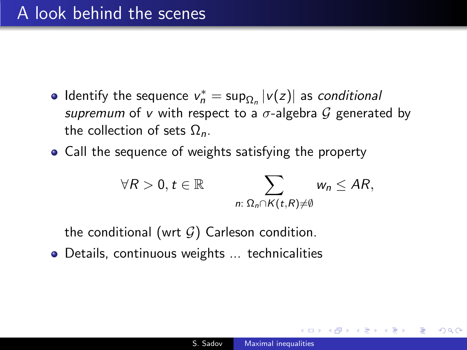- Identify the sequence  $v_n^* = \sup_{\Omega_n} |v(z)|$  as *conditional* supremum of v with respect to a  $\sigma$ -algebra  $\mathcal G$  generated by the collection of sets  $Ω<sub>n</sub>$ .
- Call the sequence of weights satisfying the property

$$
\forall R>0, t \in \mathbb{R} \qquad \sum_{n:\ \Omega_n \cap K(t,R)\neq \emptyset} w_n \leq AR,
$$

the conditional (wrt  $G$ ) Carleson condition.

**•** Details, continuous weights ... technicalities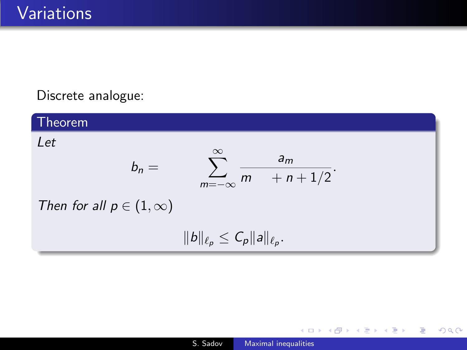### Discrete analogue:

Theorem Let  $b_n =$  $\sum^{\infty}$ m=−∞ a<sup>m</sup>  $m + n + 1/2$ . Then for all  $p \in (1, \infty)$  $||b||_{\ell_p} \leq C_p ||a||_{\ell_p}.$ 

 $\leftarrow$ 

母→ ∢ ∃

つくへ

∍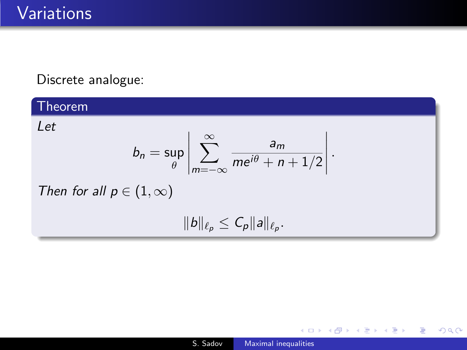### Discrete analogue:

### Theorem

Let

$$
b_n = \sup_{\theta} \left| \sum_{m=-\infty}^{\infty} \frac{a_m}{me^{i\theta} + n + 1/2} \right|.
$$
  
Then for all  $p \in (1, \infty)$   

$$
||b||_{\ell_p} \leq C_p ||a||_{\ell_p}.
$$

 $\leftarrow$   $\Box$   $\rightarrow$ 

4 何 ▶

∍

× **B** к 目

∍ Þ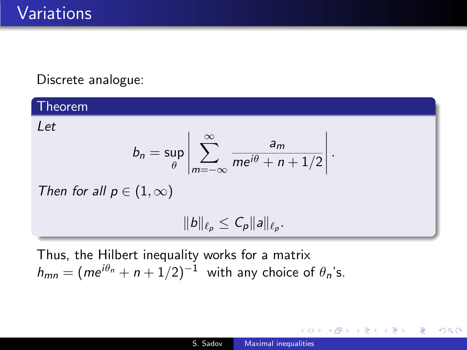### Discrete analogue:

### Theorem

Let

$$
b_n = \sup_{\theta} \left| \sum_{m=-\infty}^{\infty} \frac{a_m}{me^{i\theta} + n + 1/2} \right|.
$$

Then for all  $p \in (1, \infty)$ 

$$
||b||_{\ell_p}\leq C_p||a||_{\ell_p}.
$$

Thus, the Hilbert inequality works for a matrix  $h_{mn} = (me^{i\theta_n} + n + 1/2)^{-1}$  with any choice of  $\theta_n$ 's.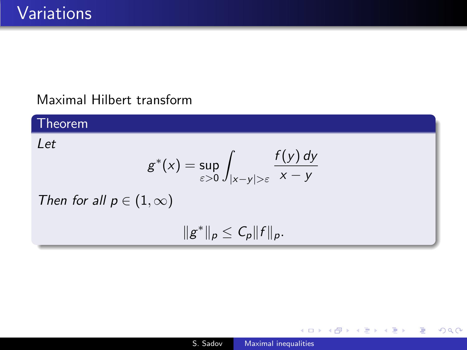### Maximal Hilbert transform

#### Theorem Let  $g^*(x) = \sup$ ε>0 Z |x−y|>ε  $f(y)$  dy  $x - y$ Then for all  $p \in (1, \infty)$  $||g^*||_p \leq C_p ||f||_p.$

 $\leftarrow$ 

4母 ト 4回 ト

э

重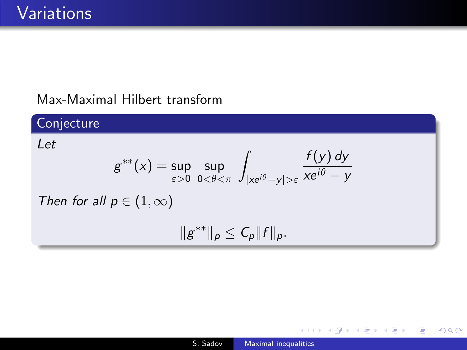### Max-Maximal Hilbert transform

#### Conjecture Let  $g^{**}(x) = \sup$ ε>0 sup  $0<\theta<\pi$ Z  $|x e^{i\theta} - y| > \varepsilon$  $f(y)$  dy xe $^{i\theta}-y$ Then for all  $p \in (1, \infty)$  $||g^{**}||_p \leq C_p ||f||_p.$

**伊 ト イヨ** 

э

 $\Omega$